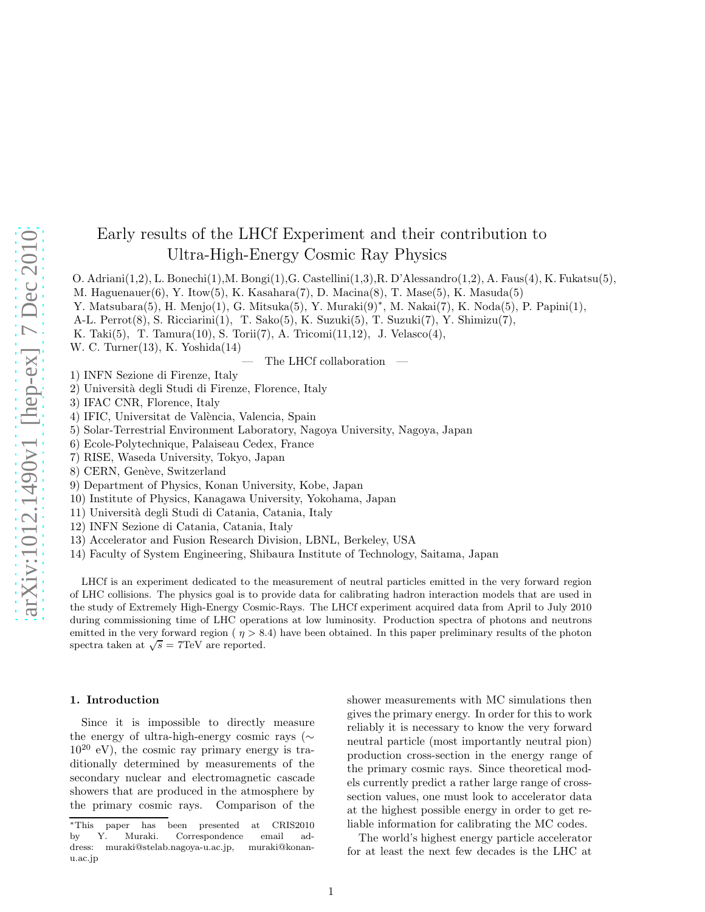# Early results of the LHCf Experiment and their contribution to Ultra-High-Energy Cosmic Ray Physics

O. Adriani(1,2), L. Bonechi(1),M. Bongi(1),G. Castellini(1,3),R. D'Alessandro(1,2), A. Faus(4), K. Fukatsu(5),

M. Haguenauer $(6)$ , Y. Itow $(5)$ , K. Kasahara $(7)$ , D. Macina $(8)$ , T. Mase $(5)$ , K. Masuda $(5)$ 

Y. Matsubara(5), H. Menjo(1), G. Mitsuka(5), Y. Muraki(9)<sup>∗</sup> , M. Nakai(7), K. Noda(5), P. Papini(1),

- A-L. Perrot(8), S. Ricciarini(1), T. Sako(5), K. Suzuki(5), T. Suzuki(7), Y. Shimizu(7),
- K. Taki(5), T. Tamura(10), S. Torii(7), A. Tricomi(11,12), J. Velasco(4),

W. C. Turner(13), K. Yoshida(14)

The LHCf collaboration

- 1) INFN Sezione di Firenze, Italy
- 2) Universit`a degli Studi di Firenze, Florence, Italy
- 3) IFAC CNR, Florence, Italy
- 4) IFIC, Universitat de València, Valencia, Spain
- 5) Solar-Terrestrial Environment Laboratory, Nagoya University, Nagoya, Japan
- 6) Ecole-Polytechnique, Palaiseau Cedex, France
- 7) RISE, Waseda University, Tokyo, Japan
- 8) CERN, Genève, Switzerland
- 9) Department of Physics, Konan University, Kobe, Japan
- 10) Institute of Physics, Kanagawa University, Yokohama, Japan
- 11) Universit`a degli Studi di Catania, Catania, Italy
- 12) INFN Sezione di Catania, Catania, Italy
- 13) Accelerator and Fusion Research Division, LBNL, Berkeley, USA
- 14) Faculty of System Engineering, Shibaura Institute of Technology, Saitama, Japan

LHCf is an experiment dedicated to the measurement of neutral particles emitted in the very forward region of LHC collisions. The physics goal is to provide data for calibrating hadron interaction models that are used in the study of Extremely High-Energy Cosmic-Rays. The LHCf experiment acquired data from April to July 2010 during commissioning time of LHC operations at low luminosity. Production spectra of photons and neutrons emitted in the very forward region ( $\eta > 8.4$ ) have been obtained. In this paper preliminary results of the photon spectra taken at  $\sqrt{s} = 7 \text{TeV}$  are reported.

## 1. Introduction

Since it is impossible to directly measure the energy of ultra-high-energy cosmic rays (∼  $10^{20}$  eV), the cosmic ray primary energy is traditionally determined by measurements of the secondary nuclear and electromagnetic cascade showers that are produced in the atmosphere by the primary cosmic rays. Comparison of the shower measurements with MC simulations then gives the primary energy. In order for this to work reliably it is necessary to know the very forward neutral particle (most importantly neutral pion) production cross-section in the energy range of the primary cosmic rays. Since theoretical models currently predict a rather large range of crosssection values, one must look to accelerator data at the highest possible energy in order to get reliable information for calibrating the MC codes.

The world's highest energy particle accelerator for at least the next few decades is the LHC at

<sup>∗</sup>This paper has been presented at CRIS2010 by Y. Muraki. Correspondence email address: muraki@stelab.nagoya-u.ac.jp, muraki@konanu.ac.jp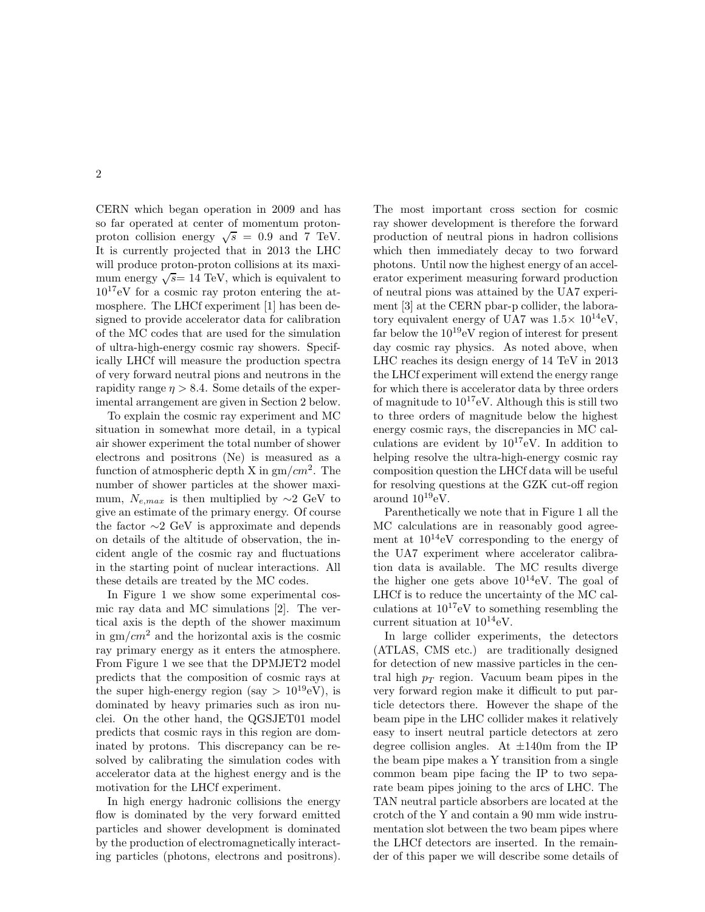CERN which began operation in 2009 and has so far operated at center of momentum protonproton collision energy  $\sqrt{s} = 0.9$  and 7 TeV. It is currently projected that in 2013 the LHC will produce proton-proton collisions at its maximum energy  $\sqrt{s}$  = 14 TeV, which is equivalent to  $10^{17}$ eV for a cosmic ray proton entering the atmosphere. The LHCf experiment [1] has been designed to provide accelerator data for calibration of the MC codes that are used for the simulation of ultra-high-energy cosmic ray showers. Specifically LHCf will measure the production spectra of very forward neutral pions and neutrons in the rapidity range  $\eta > 8.4$ . Some details of the experimental arrangement are given in Section 2 below.

To explain the cosmic ray experiment and MC situation in somewhat more detail, in a typical air shower experiment the total number of shower electrons and positrons (Ne) is measured as a function of atmospheric depth X in  $gm/cm^2$ . The number of shower particles at the shower maximum,  $N_{e,max}$  is then multiplied by ∼2 GeV to give an estimate of the primary energy. Of course the factor ∼2 GeV is approximate and depends on details of the altitude of observation, the incident angle of the cosmic ray and fluctuations in the starting point of nuclear interactions. All these details are treated by the MC codes.

In Figure 1 we show some experimental cosmic ray data and MC simulations [2]. The vertical axis is the depth of the shower maximum in  $\text{gm}/\text{cm}^2$  and the horizontal axis is the cosmic ray primary energy as it enters the atmosphere. From Figure 1 we see that the DPMJET2 model predicts that the composition of cosmic rays at the super high-energy region (say  $> 10^{19}$ eV), is dominated by heavy primaries such as iron nuclei. On the other hand, the QGSJET01 model predicts that cosmic rays in this region are dominated by protons. This discrepancy can be resolved by calibrating the simulation codes with accelerator data at the highest energy and is the motivation for the LHCf experiment.

In high energy hadronic collisions the energy flow is dominated by the very forward emitted particles and shower development is dominated by the production of electromagnetically interacting particles (photons, electrons and positrons). The most important cross section for cosmic ray shower development is therefore the forward production of neutral pions in hadron collisions which then immediately decay to two forward photons. Until now the highest energy of an accelerator experiment measuring forward production of neutral pions was attained by the UA7 experiment [3] at the CERN pbar-p collider, the laboratory equivalent energy of UA7 was  $1.5\times 10^{14}$ eV, far below the  $10^{19}$ eV region of interest for present day cosmic ray physics. As noted above, when LHC reaches its design energy of 14 TeV in 2013 the LHCf experiment will extend the energy range for which there is accelerator data by three orders of magnitude to  $10^{17}$ eV. Although this is still two to three orders of magnitude below the highest energy cosmic rays, the discrepancies in MC calculations are evident by  $10^{17}$ eV. In addition to helping resolve the ultra-high-energy cosmic ray composition question the LHCf data will be useful for resolving questions at the GZK cut-off region around  $10^{19}$ eV.

Parenthetically we note that in Figure 1 all the MC calculations are in reasonably good agreement at  $10^{14}$ eV corresponding to the energy of the UA7 experiment where accelerator calibration data is available. The MC results diverge the higher one gets above  $10^{14}$ eV. The goal of LHCf is to reduce the uncertainty of the MC calculations at  $10^{17}$ eV to something resembling the current situation at  $10^{14}$ eV.

In large collider experiments, the detectors (ATLAS, CMS etc.) are traditionally designed for detection of new massive particles in the central high  $p_T$  region. Vacuum beam pipes in the very forward region make it difficult to put particle detectors there. However the shape of the beam pipe in the LHC collider makes it relatively easy to insert neutral particle detectors at zero degree collision angles. At  $\pm 140$ m from the IP the beam pipe makes a Y transition from a single common beam pipe facing the IP to two separate beam pipes joining to the arcs of LHC. The TAN neutral particle absorbers are located at the crotch of the Y and contain a 90 mm wide instrumentation slot between the two beam pipes where the LHCf detectors are inserted. In the remainder of this paper we will describe some details of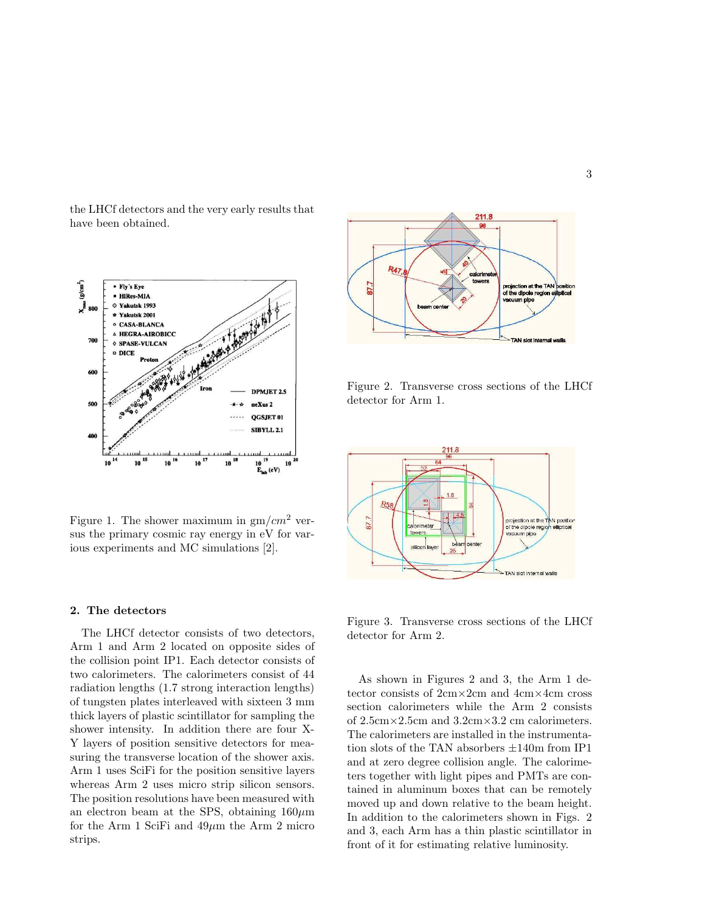the LHCf detectors and the very early results that have been obtained.



Figure 1. The shower maximum in  $gm/cm<sup>2</sup>$  versus the primary cosmic ray energy in eV for various experiments and MC simulations [2].

## 2. The detectors

The LHCf detector consists of two detectors, Arm 1 and Arm 2 located on opposite sides of the collision point IP1. Each detector consists of two calorimeters. The calorimeters consist of 44 radiation lengths (1.7 strong interaction lengths) of tungsten plates interleaved with sixteen 3 mm thick layers of plastic scintillator for sampling the shower intensity. In addition there are four X-Y layers of position sensitive detectors for measuring the transverse location of the shower axis. Arm 1 uses SciFi for the position sensitive layers whereas Arm 2 uses micro strip silicon sensors. The position resolutions have been measured with an electron beam at the SPS, obtaining  $160 \mu m$ for the Arm 1 SciFi and  $49\mu$ m the Arm 2 micro strips.



Figure 2. Transverse cross sections of the LHCf detector for Arm 1.



Figure 3. Transverse cross sections of the LHCf detector for Arm 2.

As shown in Figures 2 and 3, the Arm 1 detector consists of 2cm×2cm and 4cm×4cm cross section calorimeters while the Arm 2 consists of  $2.5 \text{cm} \times 2.5 \text{cm}$  and  $3.2 \text{cm} \times 3.2 \text{cm}$  calorimeters. The calorimeters are installed in the instrumentation slots of the TAN absorbers  $\pm 140\mathrm{m}$  from IP1 and at zero degree collision angle. The calorimeters together with light pipes and PMTs are contained in aluminum boxes that can be remotely moved up and down relative to the beam height. In addition to the calorimeters shown in Figs. 2 and 3, each Arm has a thin plastic scintillator in front of it for estimating relative luminosity.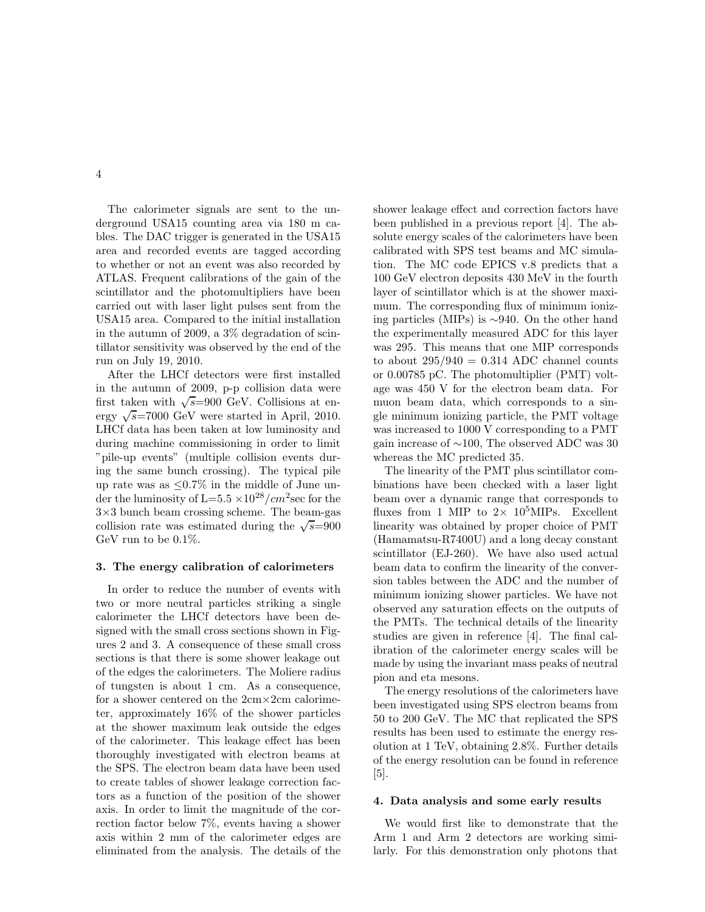4

The calorimeter signals are sent to the underground USA15 counting area via 180 m cables. The DAC trigger is generated in the USA15 area and recorded events are tagged according to whether or not an event was also recorded by ATLAS. Frequent calibrations of the gain of the scintillator and the photomultipliers have been carried out with laser light pulses sent from the USA15 area. Compared to the initial installation in the autumn of 2009, a 3% degradation of scintillator sensitivity was observed by the end of the run on July 19, 2010.

After the LHCf detectors were first installed in the autumn of 2009, p-p collision data were first taken with  $\sqrt{s}$ =900 GeV. Collisions at energy  $\sqrt{s}$ =7000 GeV were started in April, 2010. LHCf data has been taken at low luminosity and during machine commissioning in order to limit "pile-up events" (multiple collision events during the same bunch crossing). The typical pile up rate was as  $\leq 0.7\%$  in the middle of June under the luminosity of L=5.5  $\times 10^{28}/cm^2$  sec for the  $3\times3$  bunch beam crossing scheme. The beam-gas collision rate was estimated during the  $\sqrt{s} = 900$ GeV run to be 0.1%.

#### 3. The energy calibration of calorimeters

In order to reduce the number of events with two or more neutral particles striking a single calorimeter the LHCf detectors have been designed with the small cross sections shown in Figures 2 and 3. A consequence of these small cross sections is that there is some shower leakage out of the edges the calorimeters. The Moliere radius of tungsten is about 1 cm. As a consequence, for a shower centered on the 2cm×2cm calorimeter, approximately 16% of the shower particles at the shower maximum leak outside the edges of the calorimeter. This leakage effect has been thoroughly investigated with electron beams at the SPS. The electron beam data have been used to create tables of shower leakage correction factors as a function of the position of the shower axis. In order to limit the magnitude of the correction factor below 7%, events having a shower axis within 2 mm of the calorimeter edges are eliminated from the analysis. The details of the shower leakage effect and correction factors have been published in a previous report [4]. The absolute energy scales of the calorimeters have been calibrated with SPS test beams and MC simulation. The MC code EPICS v.8 predicts that a 100 GeV electron deposits 430 MeV in the fourth layer of scintillator which is at the shower maximum. The corresponding flux of minimum ionizing particles (MIPs) is ∼940. On the other hand the experimentally measured ADC for this layer was 295. This means that one MIP corresponds to about  $295/940 = 0.314$  ADC channel counts or 0.00785 pC. The photomultiplier (PMT) voltage was 450 V for the electron beam data. For muon beam data, which corresponds to a single minimum ionizing particle, the PMT voltage was increased to 1000 V corresponding to a PMT gain increase of ∼100, The observed ADC was 30 whereas the MC predicted 35.

The linearity of the PMT plus scintillator combinations have been checked with a laser light beam over a dynamic range that corresponds to fluxes from 1 MIP to  $2 \times 10^5$ MIPs. Excellent linearity was obtained by proper choice of PMT (Hamamatsu-R7400U) and a long decay constant scintillator (EJ-260). We have also used actual beam data to confirm the linearity of the conversion tables between the ADC and the number of minimum ionizing shower particles. We have not observed any saturation effects on the outputs of the PMTs. The technical details of the linearity studies are given in reference [4]. The final calibration of the calorimeter energy scales will be made by using the invariant mass peaks of neutral pion and eta mesons.

The energy resolutions of the calorimeters have been investigated using SPS electron beams from 50 to 200 GeV. The MC that replicated the SPS results has been used to estimate the energy resolution at 1 TeV, obtaining 2.8%. Further details of the energy resolution can be found in reference [5].

#### 4. Data analysis and some early results

We would first like to demonstrate that the Arm 1 and Arm 2 detectors are working similarly. For this demonstration only photons that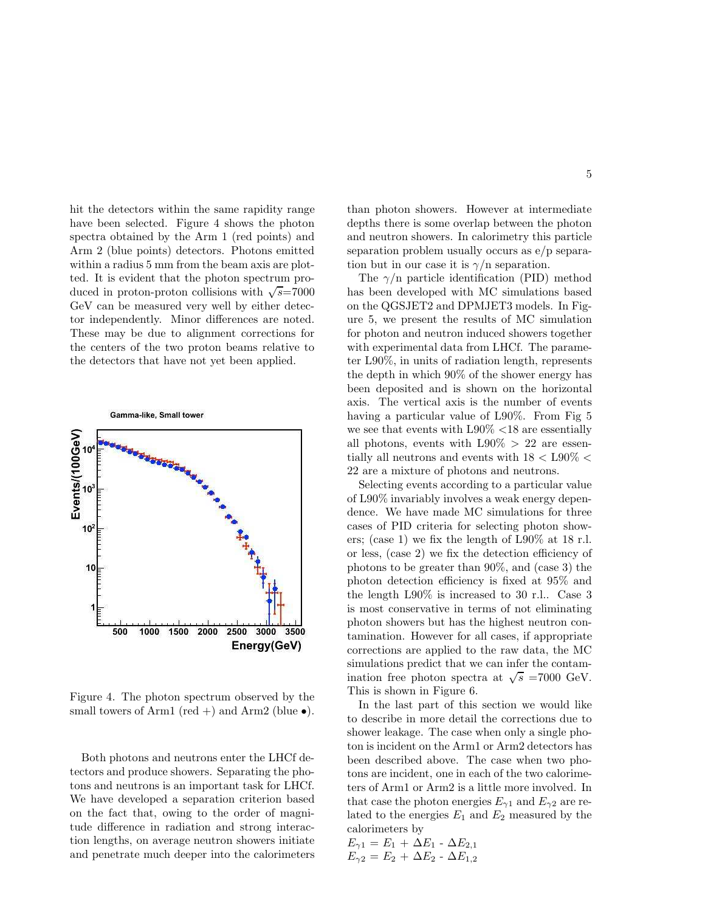hit the detectors within the same rapidity range have been selected. Figure 4 shows the photon spectra obtained by the Arm 1 (red points) and Arm 2 (blue points) detectors. Photons emitted within a radius 5 mm from the beam axis are plotted. It is evident that the photon spectrum produced in proton-proton collisions with  $\sqrt{s}$ =7000 GeV can be measured very well by either detector independently. Minor differences are noted. These may be due to alignment corrections for the centers of the two proton beams relative to the detectors that have not yet been applied.



Figure 4. The photon spectrum observed by the small towers of Arm1 (red +) and Arm2 (blue  $\bullet$ ).

Both photons and neutrons enter the LHCf detectors and produce showers. Separating the photons and neutrons is an important task for LHCf. We have developed a separation criterion based on the fact that, owing to the order of magnitude difference in radiation and strong interaction lengths, on average neutron showers initiate and penetrate much deeper into the calorimeters than photon showers. However at intermediate depths there is some overlap between the photon and neutron showers. In calorimetry this particle separation problem usually occurs as e/p separation but in our case it is  $\gamma/n$  separation.

The  $\gamma$ /n particle identification (PID) method has been developed with MC simulations based on the QGSJET2 and DPMJET3 models. In Figure 5, we present the results of MC simulation for photon and neutron induced showers together with experimental data from LHCf. The parameter L90%, in units of radiation length, represents the depth in which 90% of the shower energy has been deposited and is shown on the horizontal axis. The vertical axis is the number of events having a particular value of L90%. From Fig 5 we see that events with L90% <18 are essentially all photons, events with  $L90\% > 22$  are essentially all neutrons and events with  $18 <$  L90%  $<$ 22 are a mixture of photons and neutrons.

Selecting events according to a particular value of L90% invariably involves a weak energy dependence. We have made MC simulations for three cases of PID criteria for selecting photon showers; (case 1) we fix the length of L90% at 18 r.l. or less, (case 2) we fix the detection efficiency of photons to be greater than 90%, and (case 3) the photon detection efficiency is fixed at 95% and the length L90% is increased to 30 r.l.. Case 3 is most conservative in terms of not eliminating photon showers but has the highest neutron contamination. However for all cases, if appropriate corrections are applied to the raw data, the MC simulations predict that we can infer the contamination free photon spectra at  $\sqrt{s}$  =7000 GeV. This is shown in Figure 6.

In the last part of this section we would like to describe in more detail the corrections due to shower leakage. The case when only a single photon is incident on the Arm1 or Arm2 detectors has been described above. The case when two photons are incident, one in each of the two calorimeters of Arm1 or Arm2 is a little more involved. In that case the photon energies  $E_{\gamma 1}$  and  $E_{\gamma 2}$  are related to the energies  $E_1$  and  $E_2$  measured by the calorimeters by

$$
E_{\gamma 1} = E_1 + \Delta E_1 - \Delta E_{2,1}
$$
  

$$
E_{\gamma 2} = E_2 + \Delta E_2 - \Delta E_{1,2}
$$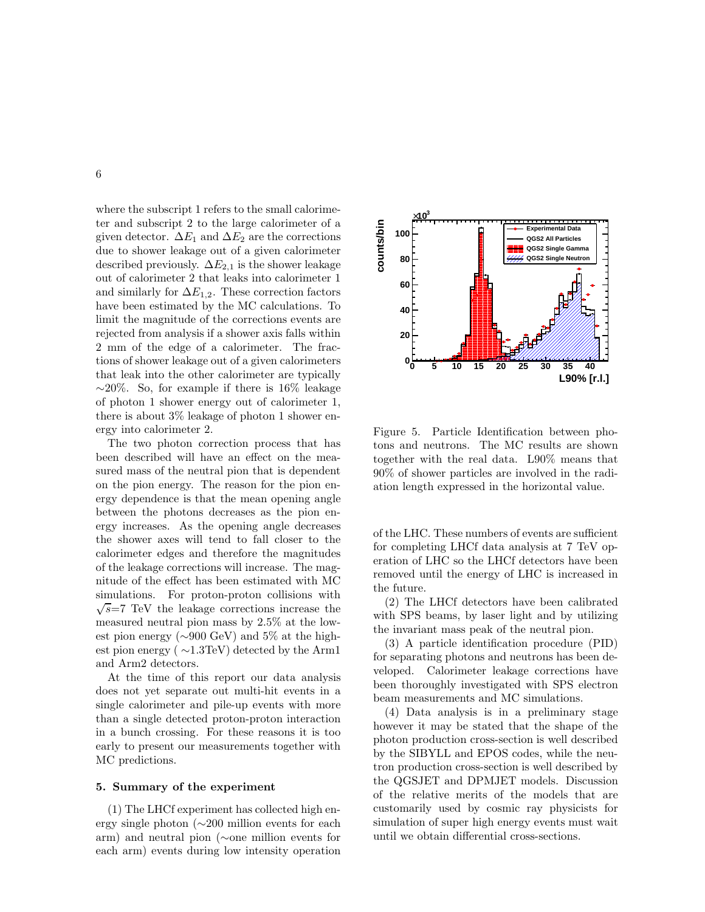where the subscript 1 refers to the small calorimeter and subscript 2 to the large calorimeter of a given detector.  $\Delta E_1$  and  $\Delta E_2$  are the corrections due to shower leakage out of a given calorimeter described previously.  $\Delta E_{2,1}$  is the shower leakage out of calorimeter 2 that leaks into calorimeter 1 and similarly for  $\Delta E_{1,2}$ . These correction factors have been estimated by the MC calculations. To limit the magnitude of the corrections events are rejected from analysis if a shower axis falls within 2 mm of the edge of a calorimeter. The fractions of shower leakage out of a given calorimeters that leak into the other calorimeter are typically  $~\sim$ 20%. So, for example if there is 16% leakage of photon 1 shower energy out of calorimeter 1, there is about 3% leakage of photon 1 shower energy into calorimeter 2.

The two photon correction process that has been described will have an effect on the measured mass of the neutral pion that is dependent on the pion energy. The reason for the pion energy dependence is that the mean opening angle between the photons decreases as the pion energy increases. As the opening angle decreases the shower axes will tend to fall closer to the calorimeter edges and therefore the magnitudes of the leakage corrections will increase. The magnitude of the effect has been estimated with MC simulations. For proton-proton collisions with  $\sqrt{s}$ =7 TeV the leakage corrections increase the measured neutral pion mass by 2.5% at the lowest pion energy (∼900 GeV) and 5% at the highest pion energy ( ∼1.3TeV) detected by the Arm1 and Arm2 detectors.

At the time of this report our data analysis does not yet separate out multi-hit events in a single calorimeter and pile-up events with more than a single detected proton-proton interaction in a bunch crossing. For these reasons it is too early to present our measurements together with MC predictions.

### 5. Summary of the experiment

(1) The LHCf experiment has collected high energy single photon (∼200 million events for each arm) and neutral pion (∼one million events for each arm) events during low intensity operation



Figure 5. Particle Identification between photons and neutrons. The MC results are shown together with the real data. L90% means that 90% of shower particles are involved in the radiation length expressed in the horizontal value.

of the LHC. These numbers of events are sufficient for completing LHCf data analysis at 7 TeV operation of LHC so the LHCf detectors have been removed until the energy of LHC is increased in the future.

(2) The LHCf detectors have been calibrated with SPS beams, by laser light and by utilizing the invariant mass peak of the neutral pion.

(3) A particle identification procedure (PID) for separating photons and neutrons has been developed. Calorimeter leakage corrections have been thoroughly investigated with SPS electron beam measurements and MC simulations.

(4) Data analysis is in a preliminary stage however it may be stated that the shape of the photon production cross-section is well described by the SIBYLL and EPOS codes, while the neutron production cross-section is well described by the QGSJET and DPMJET models. Discussion of the relative merits of the models that are customarily used by cosmic ray physicists for simulation of super high energy events must wait until we obtain differential cross-sections.